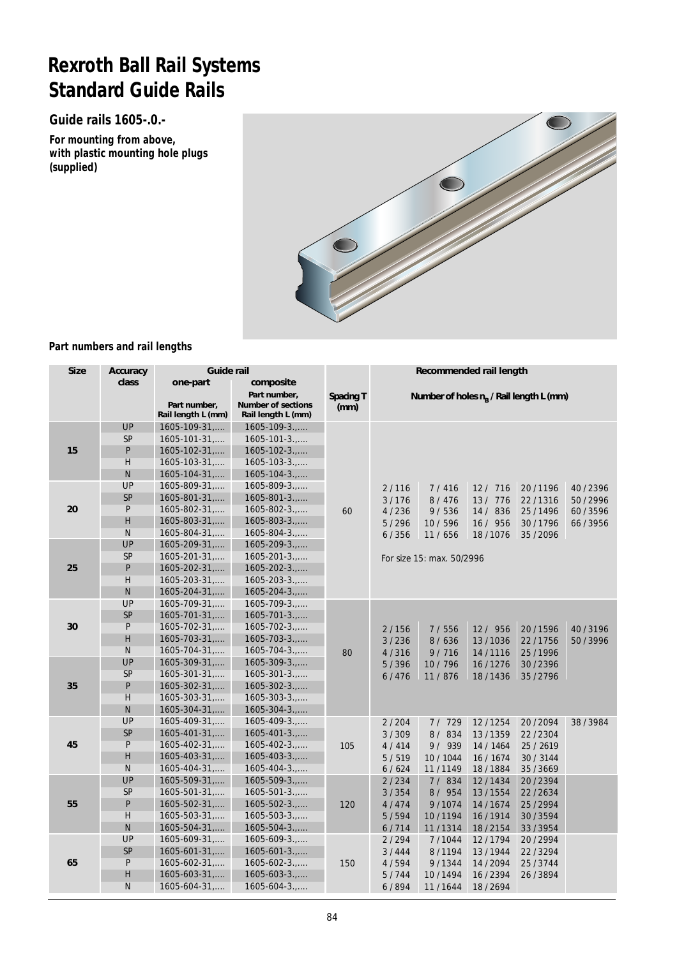## **Rexroth Ball Rail Systems Standard Guide Rails**

## **Guide rails 1605-.0.-**

**For mounting from above, with plastic mounting hole plugs (supplied)**



## **Part numbers and rail lengths**

| Size | Accuracy       | Guide rail                         |                                                                 | Recommended rail length |                                                     |           |           |           |         |  |
|------|----------------|------------------------------------|-----------------------------------------------------------------|-------------------------|-----------------------------------------------------|-----------|-----------|-----------|---------|--|
|      | class          | one-part                           | composite                                                       |                         | Number of holes n <sub>R</sub> / Rail length L (mm) |           |           |           |         |  |
|      |                | Part number,<br>Rail length L (mm) | Part number,<br><b>Number of sections</b><br>Rail length L (mm) | Spacing T<br>(mm)       |                                                     |           |           |           |         |  |
| 15   | UP             | $1605 - 109 - 31,$                 | $1605 - 109 - 3$ .,                                             |                         |                                                     |           |           |           |         |  |
|      | <b>SP</b>      | $1605 - 101 - 31$                  | $1605 - 101 - 3$ .                                              |                         |                                                     |           |           |           |         |  |
|      | P              | $1605 - 102 - 31,$                 | $1605 - 102 - 3$                                                |                         |                                                     |           |           |           |         |  |
|      | H              | $1605 - 103 - 31,$                 | $1605 - 103 - 3$                                                |                         |                                                     |           |           |           |         |  |
|      | ${\sf N}$      | $1605 - 104 - 31,$                 | $1605 - 104 - 3$ .                                              |                         |                                                     |           |           |           |         |  |
| 20   | UP             | $1605 - 809 - 31$                  | $1605 - 809 - 3$                                                |                         | 2/116                                               | 7/416     | 12/ 716   | 20/1196   | 40/2396 |  |
|      | <b>SP</b>      | $1605 - 801 - 31$ ,                | $1605 - 801 - 3$                                                | 60                      | 3/176                                               | 8/476     | 13/ 776   | 22/1316   | 50/2996 |  |
|      | P              | $1605 - 802 - 31$                  | $1605 - 802 - 3$                                                |                         | 4/236                                               | 9/536     | 14 / 836  | 25/1496   | 60/3596 |  |
|      | H              | $1605 - 803 - 31$                  | $1605 - 803 - 3$                                                |                         | 5/296                                               | 10 / 59 6 | 16 / 956  | 30/1796   | 66/3956 |  |
|      | $\mathsf{N}$   | $1605 - 804 - 31,$                 | $1605 - 804 - 3$                                                |                         | 6/356                                               | 11/656    | 18/1076   | 35/2096   |         |  |
| 25   | UP             | $1605 - 209 - 31$ ,                | $1605 - 209 - 3$ .                                              |                         |                                                     |           |           |           |         |  |
|      | SP             | $1605 - 201 - 31$                  | $1605 - 201 - 3$                                                |                         | For size 15: max. 50/2996                           |           |           |           |         |  |
|      | P              | $1605 - 202 - 31, $                | $1605 - 202 - 3$ .                                              |                         |                                                     |           |           |           |         |  |
|      | H              | $1605 - 203 - 31$                  | $1605 - 203 - 3$                                                |                         |                                                     |           |           |           |         |  |
|      | ${\sf N}$      | $1605 - 204 - 31$                  | $1605 - 204 - 3$                                                |                         |                                                     |           |           |           |         |  |
| 30   | UP             | $1605 - 709 - 31$                  | $1605 - 709 - 3$                                                |                         |                                                     |           |           |           |         |  |
|      | SP             | $1605 - 701 - 31$ ,                | $1605 - 701 - 3$ .                                              |                         |                                                     |           |           |           |         |  |
|      | P              | $1605 - 702 - 31$ ,                | $1605 - 702 - 3$                                                |                         | 2/156                                               | 7/556     | 12/ 956   | 20/1596   | 40/3196 |  |
|      | H              | $1605 - 703 - 31$ ,                | $1605 - 703 - 3$                                                |                         | 3/236                                               | 8/636     | 13/1036   | 22/1756   | 50/3996 |  |
|      | $\mathsf{N}$   | $1605 - 704 - 31$                  | $1605 - 704 - 3$                                                | 80                      | 4/316                                               | 9/716     | 14/1116   | 25/1996   |         |  |
| 35   | UP             | $1605 - 309 - 31,$                 | $1605 - 309 - 3$                                                |                         | 5/396                                               | 10 / 796  | 16/1276   | 30/2396   |         |  |
|      | <b>SP</b>      | $1605 - 301 - 31$                  | $1605 - 301 - 3$                                                |                         | 6/476                                               | 11/876    | 18/1436   | 35/2796   |         |  |
|      | P              | $1605 - 302 - 31$ ,                | $1605 - 302 - 3$                                                |                         |                                                     |           |           |           |         |  |
|      | H              | $1605 - 303 - 31$ ,                | $1605 - 303 - 3$                                                |                         |                                                     |           |           |           |         |  |
|      | $\mathsf{N}$   | $1605 - 304 - 31$                  | $1605 - 304 - 3$                                                |                         |                                                     |           |           |           |         |  |
| 45   | UP             | $1605 - 409 - 31$                  | $1605 - 409 - 3$                                                |                         | 2/204                                               | 7/ 729    | 12/1254   | 20/2094   | 38/3984 |  |
|      | SP             | $1605 - 401 - 31, $                | $1605 - 401 - 3$ .                                              |                         | 3/309                                               | 8/834     | 13/1359   | 22/2304   |         |  |
|      | P              | $1605 - 402 - 31$                  | $1605 - 402 - 3$                                                | 105                     | 4/414                                               | 9/939     | 14 / 1464 | 25 / 2619 |         |  |
|      | H              | $1605 - 403 - 31$ ,                | $1605 - 403 - 3$                                                |                         | 5/519                                               | 10 / 1044 | 16 / 1674 | 30 / 3144 |         |  |
|      | $\mathsf{N}$   | $1605 - 404 - 31,$                 | $1605 - 404 - 3$ .                                              |                         | 6/624                                               | 11/1149   | 18/1884   | 35/3669   |         |  |
| 55   | UP             | $1605 - 509 - 31$                  | $1605 - 509 - 3$                                                |                         | 2/234                                               | 7/834     | 12/1434   | 20/2394   |         |  |
|      | SP             | $1605 - 501 - 31,$                 | $1605 - 501 - 3$                                                |                         | 3/354                                               | 8/ 954    | 13/1554   | 22/2634   |         |  |
|      | P              | $1605 - 502 - 31$ ,                | $1605 - 502 - 3$                                                | 120                     | 4/474                                               | 9/1074    | 14/1674   | 25/2994   |         |  |
|      | H              | $1605 - 503 - 31$                  | $1605 - 503 - 3$                                                |                         | 5/594                                               | 10/1194   | 16/1914   | 30/3594   |         |  |
|      | N              | $1605 - 504 - 31$                  | $1605 - 504 - 3$                                                |                         | 6/714                                               | 11/1314   | 18/2154   | 33/3954   |         |  |
| 65   | UP             | $1605 - 609 - 31$                  | $1605 - 609 - 3$                                                |                         | 2/294                                               | 7/1044    | 12/1794   | 20/2994   |         |  |
|      | SP             | $1605 - 601 - 31,$                 | $1605 - 601 - 3$ .                                              |                         | 3/444                                               | 8/1194    | 13/1944   | 22/3294   |         |  |
|      | P              | $1605 - 602 - 31,$                 | $1605 - 602 - 3$ .                                              | 150                     | 4/594                                               | 9/1344    | 14/2094   | 25/3744   |         |  |
|      | $\overline{H}$ | $1605 - 603 - 31$ ,                | $1605 - 603 - 3$                                                |                         | 5/744                                               | 10/1494   | 16/2394   | 26/3894   |         |  |
|      | $\mathsf{N}$   | $1605 - 604 - 31,$                 | $1605 - 604 - 3$ .                                              |                         | 6/894                                               | 11/1644   | 18/2694   |           |         |  |